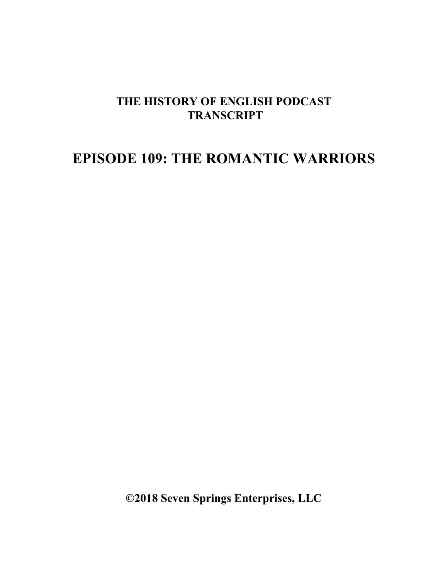## **THE HISTORY OF ENGLISH PODCAST TRANSCRIPT**

## **EPISODE 109: THE ROMANTIC WARRIORS**

**©2018 Seven Springs Enterprises, LLC**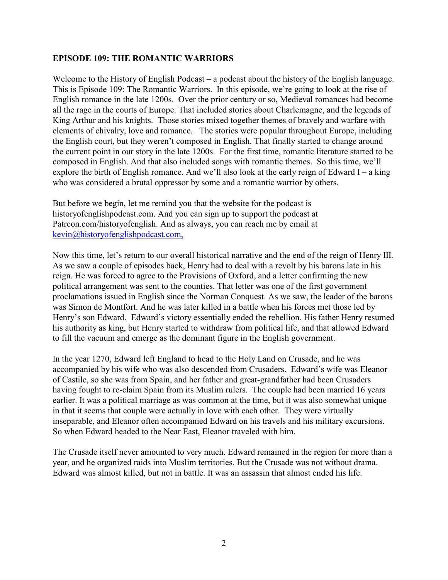## **EPISODE 109: THE ROMANTIC WARRIORS**

Welcome to the History of English Podcast – a podcast about the history of the English language. This is Episode 109: The Romantic Warriors. In this episode, we're going to look at the rise of English romance in the late 1200s. Over the prior century or so, Medieval romances had become all the rage in the courts of Europe. That included stories about Charlemagne, and the legends of King Arthur and his knights. Those stories mixed together themes of bravely and warfare with elements of chivalry, love and romance. The stories were popular throughout Europe, including the English court, but they weren't composed in English. That finally started to change around the current point in our story in the late 1200s. For the first time, romantic literature started to be composed in English. And that also included songs with romantic themes. So this time, we'll explore the birth of English romance. And we'll also look at the early reign of Edward I – a king who was considered a brutal oppressor by some and a romantic warrior by others.

But before we begin, let me remind you that the website for the podcast is historyofenglishpodcast.com. And you can sign up to support the podcast at Patreon.com/historyofenglish. And as always, you can reach me by email at [kevin@historyofenglishpodcast.com,](mailto:kevin@historyofenglishpodcast.com,)

Now this time, let's return to our overall historical narrative and the end of the reign of Henry III. As we saw a couple of episodes back, Henry had to deal with a revolt by his barons late in his reign. He was forced to agree to the Provisions of Oxford, and a letter confirming the new political arrangement was sent to the counties. That letter was one of the first government proclamations issued in English since the Norman Conquest. As we saw, the leader of the barons was Simon de Montfort. And he was later killed in a battle when his forces met those led by Henry's son Edward. Edward's victory essentially ended the rebellion. His father Henry resumed his authority as king, but Henry started to withdraw from political life, and that allowed Edward to fill the vacuum and emerge as the dominant figure in the English government.

In the year 1270, Edward left England to head to the Holy Land on Crusade, and he was accompanied by his wife who was also descended from Crusaders. Edward's wife was Eleanor of Castile, so she was from Spain, and her father and great-grandfather had been Crusaders having fought to re-claim Spain from its Muslim rulers. The couple had been married 16 years earlier. It was a political marriage as was common at the time, but it was also somewhat unique in that it seems that couple were actually in love with each other. They were virtually inseparable, and Eleanor often accompanied Edward on his travels and his military excursions. So when Edward headed to the Near East, Eleanor traveled with him.

The Crusade itself never amounted to very much. Edward remained in the region for more than a year, and he organized raids into Muslim territories. But the Crusade was not without drama. Edward was almost killed, but not in battle. It was an assassin that almost ended his life.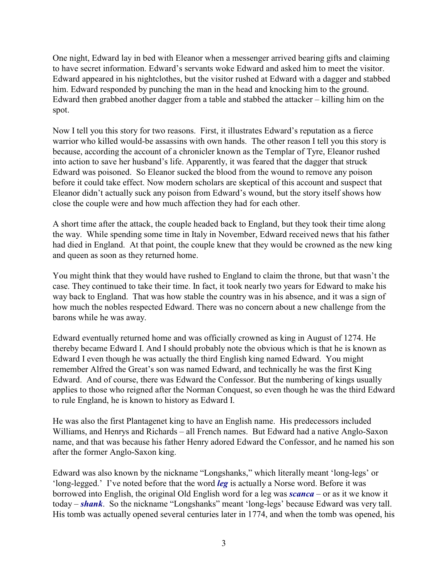One night, Edward lay in bed with Eleanor when a messenger arrived bearing gifts and claiming to have secret information. Edward's servants woke Edward and asked him to meet the visitor. Edward appeared in his nightclothes, but the visitor rushed at Edward with a dagger and stabbed him. Edward responded by punching the man in the head and knocking him to the ground. Edward then grabbed another dagger from a table and stabbed the attacker – killing him on the spot.

Now I tell you this story for two reasons. First, it illustrates Edward's reputation as a fierce warrior who killed would-be assassins with own hands. The other reason I tell you this story is because, according the account of a chronicler known as the Templar of Tyre, Eleanor rushed into action to save her husband's life. Apparently, it was feared that the dagger that struck Edward was poisoned. So Eleanor sucked the blood from the wound to remove any poison before it could take effect. Now modern scholars are skeptical of this account and suspect that Eleanor didn't actually suck any poison from Edward's wound, but the story itself shows how close the couple were and how much affection they had for each other.

A short time after the attack, the couple headed back to England, but they took their time along the way. While spending some time in Italy in November, Edward received news that his father had died in England. At that point, the couple knew that they would be crowned as the new king and queen as soon as they returned home.

You might think that they would have rushed to England to claim the throne, but that wasn't the case. They continued to take their time. In fact, it took nearly two years for Edward to make his way back to England. That was how stable the country was in his absence, and it was a sign of how much the nobles respected Edward. There was no concern about a new challenge from the barons while he was away.

Edward eventually returned home and was officially crowned as king in August of 1274. He thereby became Edward I. And I should probably note the obvious which is that he is known as Edward I even though he was actually the third English king named Edward. You might remember Alfred the Great's son was named Edward, and technically he was the first King Edward. And of course, there was Edward the Confessor. But the numbering of kings usually applies to those who reigned after the Norman Conquest, so even though he was the third Edward to rule England, he is known to history as Edward I.

He was also the first Plantagenet king to have an English name. His predecessors included Williams, and Henrys and Richards – all French names. But Edward had a native Anglo-Saxon name, and that was because his father Henry adored Edward the Confessor, and he named his son after the former Anglo-Saxon king.

Edward was also known by the nickname "Longshanks," which literally meant 'long-legs' or 'long-legged.' I've noted before that the word *leg* is actually a Norse word. Before it was borrowed into English, the original Old English word for a leg was *scanca* – or as it we know it today – *shank*. So the nickname "Longshanks" meant 'long-legs' because Edward was very tall. His tomb was actually opened several centuries later in 1774, and when the tomb was opened, his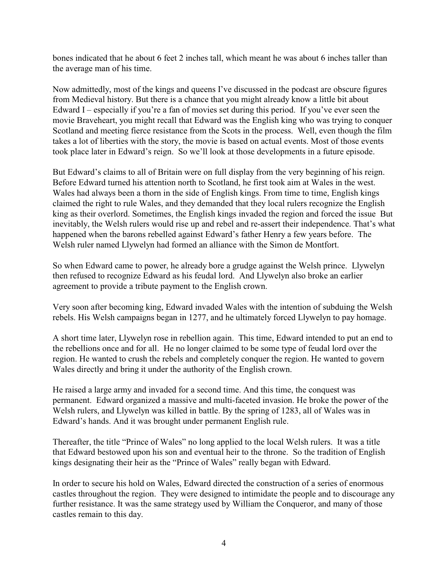bones indicated that he about 6 feet 2 inches tall, which meant he was about 6 inches taller than the average man of his time.

Now admittedly, most of the kings and queens I've discussed in the podcast are obscure figures from Medieval history. But there is a chance that you might already know a little bit about Edward I – especially if you're a fan of movies set during this period. If you've ever seen the movie Braveheart, you might recall that Edward was the English king who was trying to conquer Scotland and meeting fierce resistance from the Scots in the process. Well, even though the film takes a lot of liberties with the story, the movie is based on actual events. Most of those events took place later in Edward's reign. So we'll look at those developments in a future episode.

But Edward's claims to all of Britain were on full display from the very beginning of his reign. Before Edward turned his attention north to Scotland, he first took aim at Wales in the west. Wales had always been a thorn in the side of English kings. From time to time, English kings claimed the right to rule Wales, and they demanded that they local rulers recognize the English king as their overlord. Sometimes, the English kings invaded the region and forced the issue But inevitably, the Welsh rulers would rise up and rebel and re-assert their independence. That's what happened when the barons rebelled against Edward's father Henry a few years before. The Welsh ruler named Llywelyn had formed an alliance with the Simon de Montfort.

So when Edward came to power, he already bore a grudge against the Welsh prince. Llywelyn then refused to recognize Edward as his feudal lord. And Llywelyn also broke an earlier agreement to provide a tribute payment to the English crown.

Very soon after becoming king, Edward invaded Wales with the intention of subduing the Welsh rebels. His Welsh campaigns began in 1277, and he ultimately forced Llywelyn to pay homage.

A short time later, Llywelyn rose in rebellion again. This time, Edward intended to put an end to the rebellions once and for all. He no longer claimed to be some type of feudal lord over the region. He wanted to crush the rebels and completely conquer the region. He wanted to govern Wales directly and bring it under the authority of the English crown.

He raised a large army and invaded for a second time. And this time, the conquest was permanent. Edward organized a massive and multi-faceted invasion. He broke the power of the Welsh rulers, and Llywelyn was killed in battle. By the spring of 1283, all of Wales was in Edward's hands. And it was brought under permanent English rule.

Thereafter, the title "Prince of Wales" no long applied to the local Welsh rulers. It was a title that Edward bestowed upon his son and eventual heir to the throne. So the tradition of English kings designating their heir as the "Prince of Wales" really began with Edward.

In order to secure his hold on Wales, Edward directed the construction of a series of enormous castles throughout the region. They were designed to intimidate the people and to discourage any further resistance. It was the same strategy used by William the Conqueror, and many of those castles remain to this day.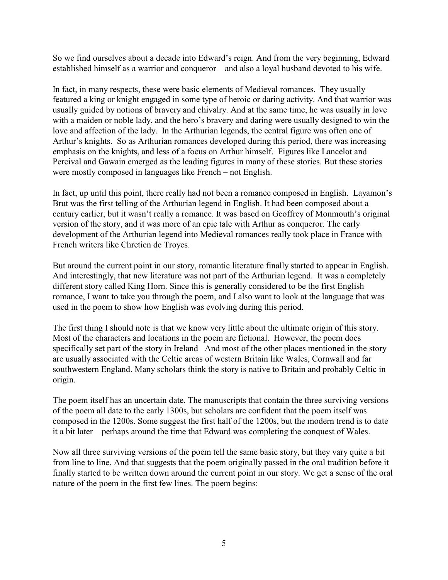So we find ourselves about a decade into Edward's reign. And from the very beginning, Edward established himself as a warrior and conqueror – and also a loyal husband devoted to his wife.

In fact, in many respects, these were basic elements of Medieval romances. They usually featured a king or knight engaged in some type of heroic or daring activity. And that warrior was usually guided by notions of bravery and chivalry. And at the same time, he was usually in love with a maiden or noble lady, and the hero's bravery and daring were usually designed to win the love and affection of the lady. In the Arthurian legends, the central figure was often one of Arthur's knights. So as Arthurian romances developed during this period, there was increasing emphasis on the knights, and less of a focus on Arthur himself. Figures like Lancelot and Percival and Gawain emerged as the leading figures in many of these stories. But these stories were mostly composed in languages like French – not English.

In fact, up until this point, there really had not been a romance composed in English. Layamon's Brut was the first telling of the Arthurian legend in English. It had been composed about a century earlier, but it wasn't really a romance. It was based on Geoffrey of Monmouth's original version of the story, and it was more of an epic tale with Arthur as conqueror. The early development of the Arthurian legend into Medieval romances really took place in France with French writers like Chretien de Troyes.

But around the current point in our story, romantic literature finally started to appear in English. And interestingly, that new literature was not part of the Arthurian legend. It was a completely different story called King Horn. Since this is generally considered to be the first English romance, I want to take you through the poem, and I also want to look at the language that was used in the poem to show how English was evolving during this period.

The first thing I should note is that we know very little about the ultimate origin of this story. Most of the characters and locations in the poem are fictional. However, the poem does specifically set part of the story in Ireland And most of the other places mentioned in the story are usually associated with the Celtic areas of western Britain like Wales, Cornwall and far southwestern England. Many scholars think the story is native to Britain and probably Celtic in origin.

The poem itself has an uncertain date. The manuscripts that contain the three surviving versions of the poem all date to the early 1300s, but scholars are confident that the poem itself was composed in the 1200s. Some suggest the first half of the 1200s, but the modern trend is to date it a bit later – perhaps around the time that Edward was completing the conquest of Wales.

Now all three surviving versions of the poem tell the same basic story, but they vary quite a bit from line to line. And that suggests that the poem originally passed in the oral tradition before it finally started to be written down around the current point in our story. We get a sense of the oral nature of the poem in the first few lines. The poem begins: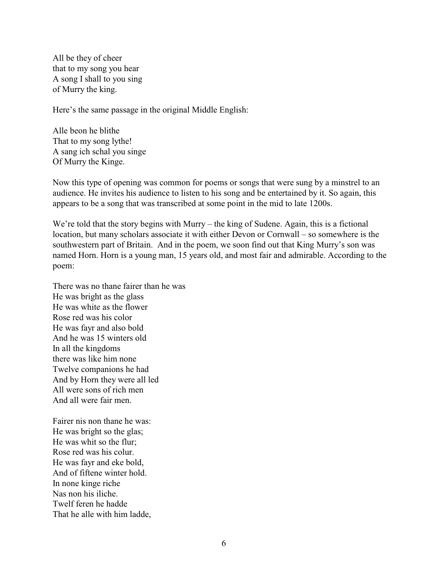All be they of cheer that to my song you hear A song I shall to you sing of Murry the king.

Here's the same passage in the original Middle English:

Alle beon he blithe That to my song lythe! A sang ich schal you singe Of Murry the Kinge.

Now this type of opening was common for poems or songs that were sung by a minstrel to an audience. He invites his audience to listen to his song and be entertained by it. So again, this appears to be a song that was transcribed at some point in the mid to late 1200s.

We're told that the story begins with Murry – the king of Sudene. Again, this is a fictional location, but many scholars associate it with either Devon or Cornwall – so somewhere is the southwestern part of Britain. And in the poem, we soon find out that King Murry's son was named Horn. Horn is a young man, 15 years old, and most fair and admirable. According to the poem:

There was no thane fairer than he was He was bright as the glass He was white as the flower Rose red was his color He was fayr and also bold And he was 15 winters old In all the kingdoms there was like him none Twelve companions he had And by Horn they were all led All were sons of rich men And all were fair men.

Fairer nis non thane he was: He was bright so the glas; He was whit so the flur; Rose red was his colur. He was fayr and eke bold, And of fiftene winter hold. In none kinge riche Nas non his iliche. Twelf feren he hadde That he alle with him ladde,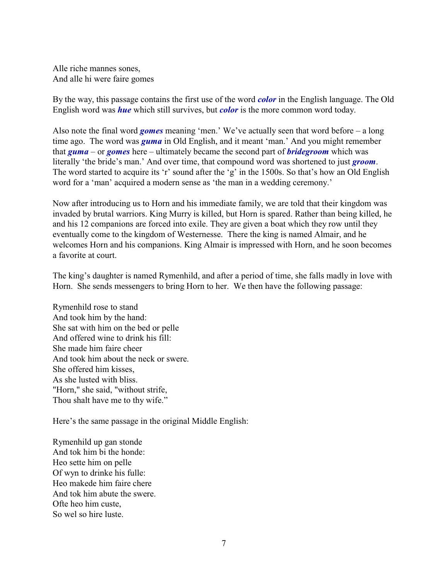Alle riche mannes sones, And alle hi were faire gomes

By the way, this passage contains the first use of the word *color* in the English language. The Old English word was *hue* which still survives, but *color* is the more common word today.

Also note the final word *gomes* meaning 'men.' We've actually seen that word before – a long time ago. The word was *guma* in Old English, and it meant 'man.' And you might remember that *guma* – or *gomes* here – ultimately became the second part of *bridegroom* which was literally 'the bride's man.' And over time, that compound word was shortened to just *groom*. The word started to acquire its 'r' sound after the 'g' in the 1500s. So that's how an Old English word for a 'man' acquired a modern sense as 'the man in a wedding ceremony.'

Now after introducing us to Horn and his immediate family, we are told that their kingdom was invaded by brutal warriors. King Murry is killed, but Horn is spared. Rather than being killed, he and his 12 companions are forced into exile. They are given a boat which they row until they eventually come to the kingdom of Westernesse. There the king is named Almair, and he welcomes Horn and his companions. King Almair is impressed with Horn, and he soon becomes a favorite at court.

The king's daughter is named Rymenhild, and after a period of time, she falls madly in love with Horn. She sends messengers to bring Horn to her. We then have the following passage:

Rymenhild rose to stand And took him by the hand: She sat with him on the bed or pelle And offered wine to drink his fill: She made him faire cheer And took him about the neck or swere. She offered him kisses, As she lusted with bliss. "Horn," she said, "without strife, Thou shalt have me to thy wife."

Here's the same passage in the original Middle English:

Rymenhild up gan stonde And tok him bi the honde: Heo sette him on pelle Of wyn to drinke his fulle: Heo makede him faire chere And tok him abute the swere. Ofte heo him custe, So wel so hire luste.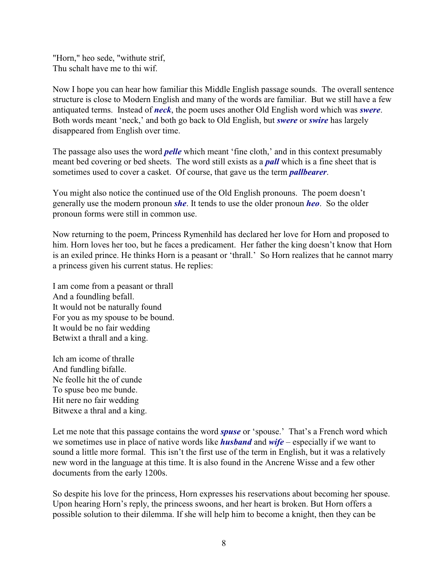"Horn," heo sede, "withute strif, Thu schalt have me to thi wif.

Now I hope you can hear how familiar this Middle English passage sounds. The overall sentence structure is close to Modern English and many of the words are familiar. But we still have a few antiquated terms. Instead of *neck*, the poem uses another Old English word which was *swere*. Both words meant 'neck,' and both go back to Old English, but *swere* or *swire* has largely disappeared from English over time.

The passage also uses the word *pelle* which meant 'fine cloth,' and in this context presumably meant bed covering or bed sheets. The word still exists as a *pall* which is a fine sheet that is sometimes used to cover a casket. Of course, that gave us the term *pallbearer*.

You might also notice the continued use of the Old English pronouns. The poem doesn't generally use the modern pronoun *she*. It tends to use the older pronoun *heo*. So the older pronoun forms were still in common use.

Now returning to the poem, Princess Rymenhild has declared her love for Horn and proposed to him. Horn loves her too, but he faces a predicament. Her father the king doesn't know that Horn is an exiled prince. He thinks Horn is a peasant or 'thrall.' So Horn realizes that he cannot marry a princess given his current status. He replies:

I am come from a peasant or thrall And a foundling befall. It would not be naturally found For you as my spouse to be bound. It would be no fair wedding Betwixt a thrall and a king.

Ich am icome of thralle And fundling bifalle. Ne feolle hit the of cunde To spuse beo me bunde. Hit nere no fair wedding Bitwexe a thral and a king.

Let me note that this passage contains the word *spuse* or 'spouse.' That's a French word which we sometimes use in place of native words like *husband* and *wife* – especially if we want to sound a little more formal. This isn't the first use of the term in English, but it was a relatively new word in the language at this time. It is also found in the Ancrene Wisse and a few other documents from the early 1200s.

So despite his love for the princess, Horn expresses his reservations about becoming her spouse. Upon hearing Horn's reply, the princess swoons, and her heart is broken. But Horn offers a possible solution to their dilemma. If she will help him to become a knight, then they can be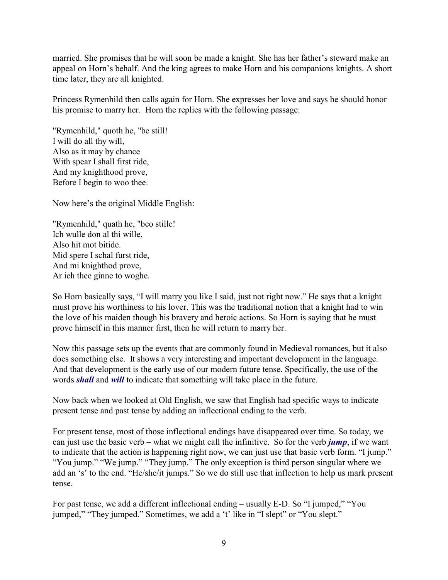married. She promises that he will soon be made a knight. She has her father's steward make an appeal on Horn's behalf. And the king agrees to make Horn and his companions knights. A short time later, they are all knighted.

Princess Rymenhild then calls again for Horn. She expresses her love and says he should honor his promise to marry her. Horn the replies with the following passage:

"Rymenhild," quoth he, "be still! I will do all thy will, Also as it may by chance With spear I shall first ride, And my knighthood prove, Before I begin to woo thee.

Now here's the original Middle English:

"Rymenhild," quath he, "beo stille! Ich wulle don al thi wille, Also hit mot bitide. Mid spere I schal furst ride, And mi knighthod prove, Ar ich thee ginne to woghe.

So Horn basically says, "I will marry you like I said, just not right now." He says that a knight must prove his worthiness to his lover. This was the traditional notion that a knight had to win the love of his maiden though his bravery and heroic actions. So Horn is saying that he must prove himself in this manner first, then he will return to marry her.

Now this passage sets up the events that are commonly found in Medieval romances, but it also does something else. It shows a very interesting and important development in the language. And that development is the early use of our modern future tense. Specifically, the use of the words *shall* and *will* to indicate that something will take place in the future.

Now back when we looked at Old English, we saw that English had specific ways to indicate present tense and past tense by adding an inflectional ending to the verb.

For present tense, most of those inflectional endings have disappeared over time. So today, we can just use the basic verb – what we might call the infinitive. So for the verb *jump*, if we want to indicate that the action is happening right now, we can just use that basic verb form. "I jump." "You jump." "We jump." "They jump." The only exception is third person singular where we add an 's' to the end. "He/she/it jumps." So we do still use that inflection to help us mark present tense.

For past tense, we add a different inflectional ending – usually E-D. So "I jumped," "You jumped," "They jumped." Sometimes, we add a 't' like in "I slept" or "You slept."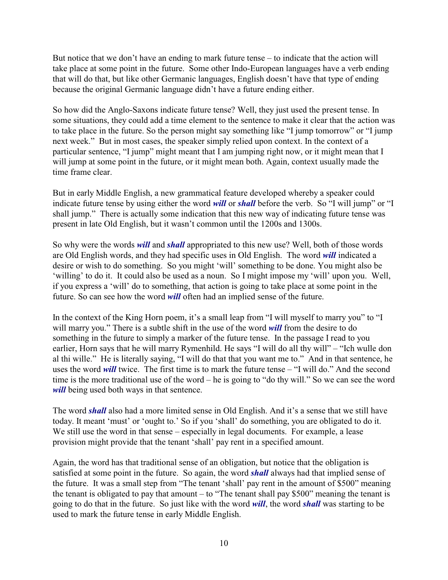But notice that we don't have an ending to mark future tense – to indicate that the action will take place at some point in the future. Some other Indo-European languages have a verb ending that will do that, but like other Germanic languages, English doesn't have that type of ending because the original Germanic language didn't have a future ending either.

So how did the Anglo-Saxons indicate future tense? Well, they just used the present tense. In some situations, they could add a time element to the sentence to make it clear that the action was to take place in the future. So the person might say something like "I jump tomorrow" or "I jump next week." But in most cases, the speaker simply relied upon context. In the context of a particular sentence, "I jump" might meant that I am jumping right now, or it might mean that I will jump at some point in the future, or it might mean both. Again, context usually made the time frame clear.

But in early Middle English, a new grammatical feature developed whereby a speaker could indicate future tense by using either the word *will* or *shall* before the verb. So "I will jump" or "I shall jump." There is actually some indication that this new way of indicating future tense was present in late Old English, but it wasn't common until the 1200s and 1300s.

So why were the words *will* and *shall* appropriated to this new use? Well, both of those words are Old English words, and they had specific uses in Old English. The word *will* indicated a desire or wish to do something. So you might 'will' something to be done. You might also be 'willing' to do it. It could also be used as a noun. So I might impose my 'will' upon you. Well, if you express a 'will' do to something, that action is going to take place at some point in the future. So can see how the word *will* often had an implied sense of the future.

In the context of the King Horn poem, it's a small leap from "I will myself to marry you" to "I will marry you." There is a subtle shift in the use of the word *will* from the desire to do something in the future to simply a marker of the future tense. In the passage I read to you earlier, Horn says that he will marry Rymenhild. He says "I will do all thy will" – "Ich wulle don al thi wille." He is literally saying, "I will do that that you want me to." And in that sentence, he uses the word *will* twice. The first time is to mark the future tense – "I will do." And the second time is the more traditional use of the word – he is going to "do thy will." So we can see the word *will* being used both ways in that sentence.

The word *shall* also had a more limited sense in Old English. And it's a sense that we still have today. It meant 'must' or 'ought to.' So if you 'shall' do something, you are obligated to do it. We still use the word in that sense – especially in legal documents. For example, a lease provision might provide that the tenant 'shall' pay rent in a specified amount.

Again, the word has that traditional sense of an obligation, but notice that the obligation is satisfied at some point in the future. So again, the word *shall* always had that implied sense of the future. It was a small step from "The tenant 'shall' pay rent in the amount of \$500" meaning the tenant is obligated to pay that amount – to "The tenant shall pay \$500" meaning the tenant is going to do that in the future. So just like with the word *will*, the word *shall* was starting to be used to mark the future tense in early Middle English.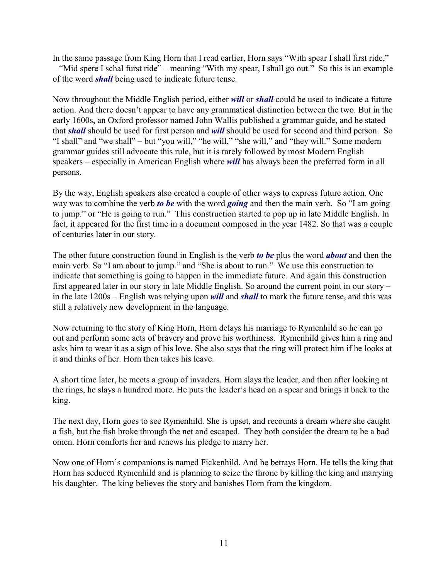In the same passage from King Horn that I read earlier, Horn says "With spear I shall first ride," – "Mid spere I schal furst ride" – meaning "With my spear, I shall go out." So this is an example of the word *shall* being used to indicate future tense.

Now throughout the Middle English period, either *will* or *shall* could be used to indicate a future action. And there doesn't appear to have any grammatical distinction between the two. But in the early 1600s, an Oxford professor named John Wallis published a grammar guide, and he stated that *shall* should be used for first person and *will* should be used for second and third person. So "I shall" and "we shall" – but "you will," "he will," "she will," and "they will." Some modern grammar guides still advocate this rule, but it is rarely followed by most Modern English speakers – especially in American English where *will* has always been the preferred form in all persons.

By the way, English speakers also created a couple of other ways to express future action. One way was to combine the verb *to be* with the word *going* and then the main verb. So "I am going to jump." or "He is going to run." This construction started to pop up in late Middle English. In fact, it appeared for the first time in a document composed in the year 1482. So that was a couple of centuries later in our story.

The other future construction found in English is the verb *to be* plus the word *about* and then the main verb. So "I am about to jump." and "She is about to run." We use this construction to indicate that something is going to happen in the immediate future. And again this construction first appeared later in our story in late Middle English. So around the current point in our story – in the late 1200s – English was relying upon *will* and *shall* to mark the future tense, and this was still a relatively new development in the language.

Now returning to the story of King Horn, Horn delays his marriage to Rymenhild so he can go out and perform some acts of bravery and prove his worthiness. Rymenhild gives him a ring and asks him to wear it as a sign of his love. She also says that the ring will protect him if he looks at it and thinks of her. Horn then takes his leave.

A short time later, he meets a group of invaders. Horn slays the leader, and then after looking at the rings, he slays a hundred more. He puts the leader's head on a spear and brings it back to the king.

The next day, Horn goes to see Rymenhild. She is upset, and recounts a dream where she caught a fish, but the fish broke through the net and escaped. They both consider the dream to be a bad omen. Horn comforts her and renews his pledge to marry her.

Now one of Horn's companions is named Fickenhild. And he betrays Horn. He tells the king that Horn has seduced Rymenhild and is planning to seize the throne by killing the king and marrying his daughter. The king believes the story and banishes Horn from the kingdom.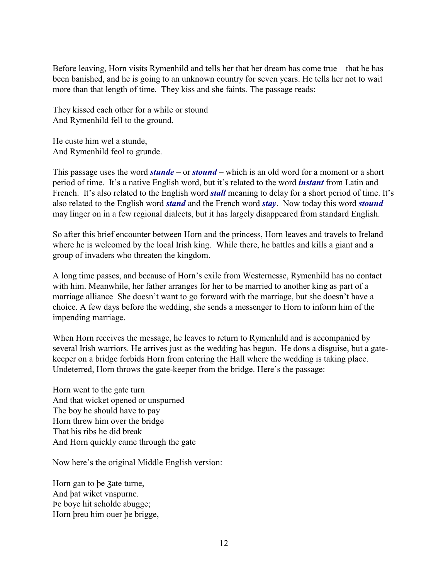Before leaving, Horn visits Rymenhild and tells her that her dream has come true – that he has been banished, and he is going to an unknown country for seven years. He tells her not to wait more than that length of time. They kiss and she faints. The passage reads:

They kissed each other for a while or stound And Rymenhild fell to the ground.

He custe him wel a stunde, And Rymenhild feol to grunde.

This passage uses the word *stunde* – or *stound* – which is an old word for a moment or a short period of time. It's a native English word, but it's related to the word *instant* from Latin and French. It's also related to the English word *stall* meaning to delay for a short period of time. It's also related to the English word *stand* and the French word *stay*. Now today this word *stound* may linger on in a few regional dialects, but it has largely disappeared from standard English.

So after this brief encounter between Horn and the princess, Horn leaves and travels to Ireland where he is welcomed by the local Irish king. While there, he battles and kills a giant and a group of invaders who threaten the kingdom.

A long time passes, and because of Horn's exile from Westernesse, Rymenhild has no contact with him. Meanwhile, her father arranges for her to be married to another king as part of a marriage alliance She doesn't want to go forward with the marriage, but she doesn't have a choice. A few days before the wedding, she sends a messenger to Horn to inform him of the impending marriage.

When Horn receives the message, he leaves to return to Rymenhild and is accompanied by several Irish warriors. He arrives just as the wedding has begun. He dons a disguise, but a gatekeeper on a bridge forbids Horn from entering the Hall where the wedding is taking place. Undeterred, Horn throws the gate-keeper from the bridge. Here's the passage:

Horn went to the gate turn And that wicket opened or unspurned The boy he should have to pay Horn threw him over the bridge That his ribs he did break And Horn quickly came through the gate

Now here's the original Middle English version:

Horn gan to be zate turne, And þat wiket vnspurne. Þe boye hit scholde abugge; Horn þreu him ouer þe brigge,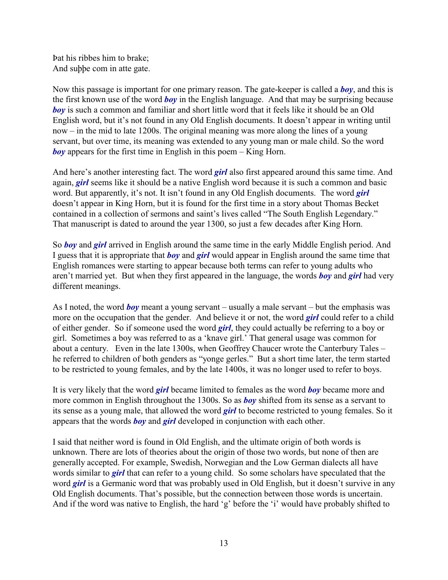Þat his ribbes him to brake; And suþþe com in atte gate.

Now this passage is important for one primary reason. The gate-keeper is called a *boy*, and this is the first known use of the word *boy* in the English language. And that may be surprising because *boy* is such a common and familiar and short little word that it feels like it should be an Old English word, but it's not found in any Old English documents. It doesn't appear in writing until now – in the mid to late 1200s. The original meaning was more along the lines of a young servant, but over time, its meaning was extended to any young man or male child. So the word *boy* appears for the first time in English in this poem – King Horn.

And here's another interesting fact. The word *girl* also first appeared around this same time. And again, *girl* seems like it should be a native English word because it is such a common and basic word. But apparently, it's not. It isn't found in any Old English documents. The word *girl* doesn't appear in King Horn, but it is found for the first time in a story about Thomas Becket contained in a collection of sermons and saint's lives called "The South English Legendary." That manuscript is dated to around the year 1300, so just a few decades after King Horn.

So *boy* and *girl* arrived in English around the same time in the early Middle English period. And I guess that it is appropriate that *boy* and *girl* would appear in English around the same time that English romances were starting to appear because both terms can refer to young adults who aren't married yet. But when they first appeared in the language, the words *boy* and *girl* had very different meanings.

As I noted, the word *boy* meant a young servant – usually a male servant – but the emphasis was more on the occupation that the gender. And believe it or not, the word *girl* could refer to a child of either gender. So if someone used the word *girl*, they could actually be referring to a boy or girl. Sometimes a boy was referred to as a 'knave girl.' That general usage was common for about a century. Even in the late 1300s, when Geoffrey Chaucer wrote the Canterbury Tales – he referred to children of both genders as "yonge gerles." But a short time later, the term started to be restricted to young females, and by the late 1400s, it was no longer used to refer to boys.

It is very likely that the word *girl* became limited to females as the word *boy* became more and more common in English throughout the 1300s. So as *boy* shifted from its sense as a servant to its sense as a young male, that allowed the word *girl* to become restricted to young females. So it appears that the words *boy* and *girl* developed in conjunction with each other.

I said that neither word is found in Old English, and the ultimate origin of both words is unknown. There are lots of theories about the origin of those two words, but none of then are generally accepted. For example, Swedish, Norwegian and the Low German dialects all have words similar to *girl* that can refer to a young child. So some scholars have speculated that the word *girl* is a Germanic word that was probably used in Old English, but it doesn't survive in any Old English documents. That's possible, but the connection between those words is uncertain. And if the word was native to English, the hard 'g' before the 'i' would have probably shifted to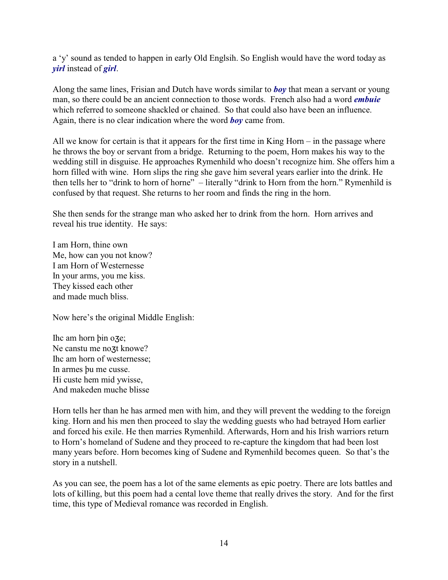a 'y' sound as tended to happen in early Old Englsih. So English would have the word today as *yirl* instead of *girl*.

Along the same lines, Frisian and Dutch have words similar to *boy* that mean a servant or young man, so there could be an ancient connection to those words. French also had a word *embuie* which referred to someone shackled or chained. So that could also have been an influence. Again, there is no clear indication where the word *boy* came from.

All we know for certain is that it appears for the first time in King Horn – in the passage where he throws the boy or servant from a bridge. Returning to the poem, Horn makes his way to the wedding still in disguise. He approaches Rymenhild who doesn't recognize him. She offers him a horn filled with wine. Horn slips the ring she gave him several years earlier into the drink. He then tells her to "drink to horn of horne" – literally "drink to Horn from the horn." Rymenhild is confused by that request. She returns to her room and finds the ring in the horn.

She then sends for the strange man who asked her to drink from the horn. Horn arrives and reveal his true identity. He says:

I am Horn, thine own Me, how can you not know? I am Horn of Westernesse In your arms, you me kiss. They kissed each other and made much bliss.

Now here's the original Middle English:

Ihc am horn þin oze; Ne canstu me nozt knowe? Ihc am horn of westernesse; In armes þu me cusse. Hi custe hem mid ywisse, And makeden muche blisse

Horn tells her than he has armed men with him, and they will prevent the wedding to the foreign king. Horn and his men then proceed to slay the wedding guests who had betrayed Horn earlier and forced his exile. He then marries Rymenhild. Afterwards, Horn and his Irish warriors return to Horn's homeland of Sudene and they proceed to re-capture the kingdom that had been lost many years before. Horn becomes king of Sudene and Rymenhild becomes queen. So that's the story in a nutshell.

As you can see, the poem has a lot of the same elements as epic poetry. There are lots battles and lots of killing, but this poem had a cental love theme that really drives the story. And for the first time, this type of Medieval romance was recorded in English.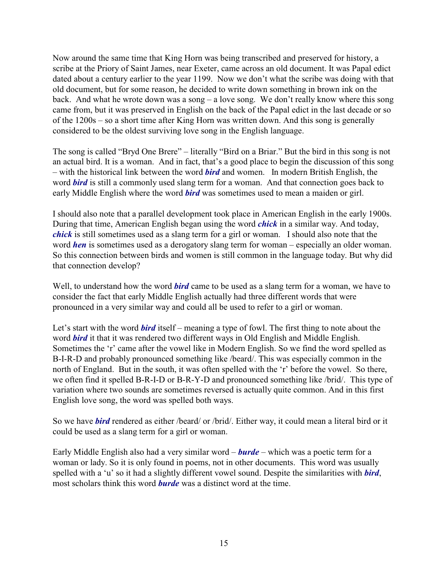Now around the same time that King Horn was being transcribed and preserved for history, a scribe at the Priory of Saint James, near Exeter, came across an old document. It was Papal edict dated about a century earlier to the year 1199. Now we don't what the scribe was doing with that old document, but for some reason, he decided to write down something in brown ink on the back. And what he wrote down was a song – a love song. We don't really know where this song came from, but it was preserved in English on the back of the Papal edict in the last decade or so of the 1200s – so a short time after King Horn was written down. And this song is generally considered to be the oldest surviving love song in the English language.

The song is called "Bryd One Brere" – literally "Bird on a Briar." But the bird in this song is not an actual bird. It is a woman. And in fact, that's a good place to begin the discussion of this song – with the historical link between the word *bird* and women. In modern British English, the word **bird** is still a commonly used slang term for a woman. And that connection goes back to early Middle English where the word *bird* was sometimes used to mean a maiden or girl.

I should also note that a parallel development took place in American English in the early 1900s. During that time, American English began using the word *chick* in a similar way. And today, *chick* is still sometimes used as a slang term for a girl or woman. I should also note that the word *hen* is sometimes used as a derogatory slang term for woman – especially an older woman. So this connection between birds and women is still common in the language today. But why did that connection develop?

Well, to understand how the word *bird* came to be used as a slang term for a woman, we have to consider the fact that early Middle English actually had three different words that were pronounced in a very similar way and could all be used to refer to a girl or woman.

Let's start with the word **bird** itself – meaning a type of fowl. The first thing to note about the word *bird* it that it was rendered two different ways in Old English and Middle English. Sometimes the 'r' came after the vowel like in Modern English. So we find the word spelled as B-I-R-D and probably pronounced something like /beard/. This was especially common in the north of England. But in the south, it was often spelled with the 'r' before the vowel. So there, we often find it spelled B-R-I-D or B-R-Y-D and pronounced something like /brid/. This type of variation where two sounds are sometimes reversed is actually quite common. And in this first English love song, the word was spelled both ways.

So we have *bird* rendered as either /beard/ or /brid/. Either way, it could mean a literal bird or it could be used as a slang term for a girl or woman.

Early Middle English also had a very similar word – *burde* – which was a poetic term for a woman or lady. So it is only found in poems, not in other documents. This word was usually spelled with a 'u' so it had a slightly different vowel sound. Despite the similarities with *bird*, most scholars think this word *burde* was a distinct word at the time.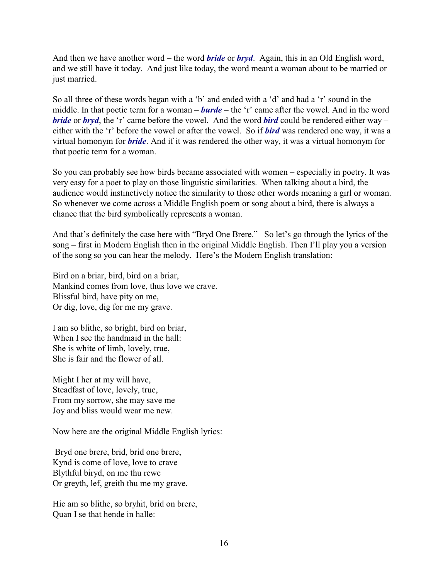And then we have another word – the word *bride* or *bryd*. Again, this in an Old English word, and we still have it today. And just like today, the word meant a woman about to be married or just married.

So all three of these words began with a 'b' and ended with a 'd' and had a 'r' sound in the middle. In that poetic term for a woman – *burde* – the 'r' came after the vowel. And in the word *bride* or *bryd*, the 'r' came before the vowel. And the word *bird* could be rendered either way – either with the 'r' before the vowel or after the vowel. So if *bird* was rendered one way, it was a virtual homonym for *bride*. And if it was rendered the other way, it was a virtual homonym for that poetic term for a woman.

So you can probably see how birds became associated with women – especially in poetry. It was very easy for a poet to play on those linguistic similarities. When talking about a bird, the audience would instinctively notice the similarity to those other words meaning a girl or woman. So whenever we come across a Middle English poem or song about a bird, there is always a chance that the bird symbolically represents a woman.

And that's definitely the case here with "Bryd One Brere." So let's go through the lyrics of the song – first in Modern English then in the original Middle English. Then I'll play you a version of the song so you can hear the melody. Here's the Modern English translation:

Bird on a briar, bird, bird on a briar, Mankind comes from love, thus love we crave. Blissful bird, have pity on me, Or dig, love, dig for me my grave.

I am so blithe, so bright, bird on briar, When I see the handmaid in the hall: She is white of limb, lovely, true, She is fair and the flower of all.

Might I her at my will have, Steadfast of love, lovely, true, From my sorrow, she may save me Joy and bliss would wear me new.

Now here are the original Middle English lyrics:

 Bryd one brere, brid, brid one brere, Kynd is come of love, love to crave Blythful biryd, on me thu rewe Or greyth, lef, greith thu me my grave.

Hic am so blithe, so bryhit, brid on brere, Quan I se that hende in halle: